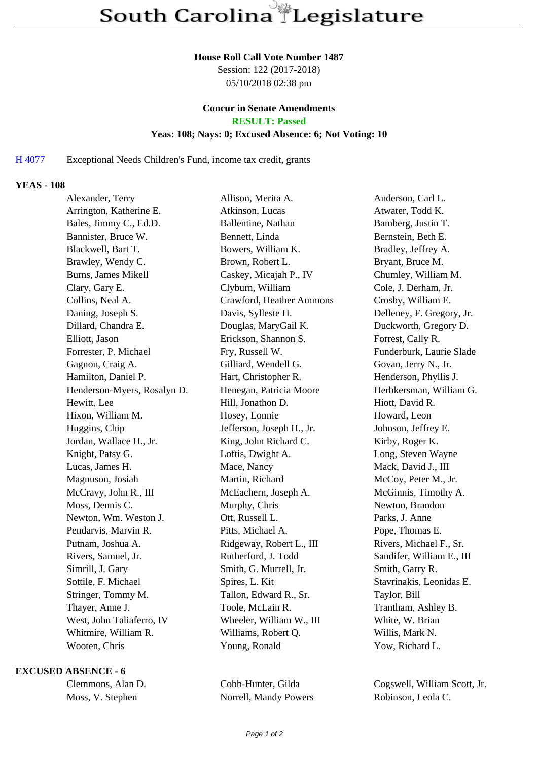#### **House Roll Call Vote Number 1487**

Session: 122 (2017-2018) 05/10/2018 02:38 pm

# **Concur in Senate Amendments**

**RESULT: Passed**

## **Yeas: 108; Nays: 0; Excused Absence: 6; Not Voting: 10**

## H 4077 Exceptional Needs Children's Fund, income tax credit, grants

### **YEAS - 108**

| Alexander, Terry            |                         | Allison, Merita A.                                 | Anderson, Carl L.         |
|-----------------------------|-------------------------|----------------------------------------------------|---------------------------|
| Arrington, Katherine E.     |                         | Atkinson, Lucas                                    | Atwater, Todd K.          |
| Bales, Jimmy C., Ed.D.      |                         | Ballentine, Nathan                                 | Bamberg, Justin T.        |
| Bannister, Bruce W.         |                         | Bennett, Linda                                     | Bernstein, Beth E.        |
| Blackwell, Bart T.          |                         | Bowers, William K.                                 | Bradley, Jeffrey A.       |
| Brawley, Wendy C.           |                         | Brown, Robert L.                                   | Bryant, Bruce M.          |
| Burns, James Mikell         |                         | Caskey, Micajah P., IV                             | Chumley, William M.       |
| Clary, Gary E.              |                         | Clyburn, William                                   | Cole, J. Derham, Jr.      |
| Collins, Neal A.            |                         | Crawford, Heather Ammons                           | Crosby, William E.        |
| Daning, Joseph S.           |                         | Davis, Sylleste H.                                 | Delleney, F. Gregory, Jr. |
| Dillard, Chandra E.         |                         | Douglas, MaryGail K.                               | Duckworth, Gregory D.     |
| Elliott, Jason              |                         | Erickson, Shannon S.                               | Forrest, Cally R.         |
|                             | Forrester, P. Michael   | Fry, Russell W.                                    | Funderburk, Laurie Slade  |
|                             | Gagnon, Craig A.        | Gilliard, Wendell G.                               | Govan, Jerry N., Jr.      |
|                             | Hamilton, Daniel P.     | Hart, Christopher R.                               | Henderson, Phyllis J.     |
| Henderson-Myers, Rosalyn D. |                         | Henegan, Patricia Moore<br>Herbkersman, William G. |                           |
| Hewitt, Lee                 |                         | Hill, Jonathon D.                                  | Hiott, David R.           |
|                             | Hixon, William M.       | Hosey, Lonnie                                      | Howard, Leon              |
| Huggins, Chip               |                         | Jefferson, Joseph H., Jr.                          | Johnson, Jeffrey E.       |
|                             | Jordan, Wallace H., Jr. | King, John Richard C.                              | Kirby, Roger K.           |
|                             | Knight, Patsy G.        | Loftis, Dwight A.                                  | Long, Steven Wayne        |
|                             | Lucas, James H.         | Mace, Nancy                                        | Mack, David J., III       |
|                             | Magnuson, Josiah        | Martin, Richard                                    | McCoy, Peter M., Jr.      |
| McCravy, John R., III       |                         | McEachern, Joseph A.                               | McGinnis, Timothy A.      |
| Moss, Dennis C.             |                         | Murphy, Chris                                      | Newton, Brandon           |
|                             | Newton, Wm. Weston J.   | Ott, Russell L.                                    | Parks, J. Anne            |
|                             | Pendarvis, Marvin R.    | Pitts, Michael A.                                  | Pope, Thomas E.           |
| Putnam, Joshua A.           |                         | Ridgeway, Robert L., III                           | Rivers, Michael F., Sr.   |
|                             | Rivers, Samuel, Jr.     | Rutherford, J. Todd                                | Sandifer, William E., III |
|                             | Simrill, J. Gary        | Smith, G. Murrell, Jr.                             | Smith, Garry R.           |
| Sottile, F. Michael         |                         | Spires, L. Kit                                     | Stavrinakis, Leonidas E.  |
| Stringer, Tommy M.          |                         | Tallon, Edward R., Sr.                             | Taylor, Bill              |
| Thayer, Anne J.             |                         | Toole, McLain R.                                   | Trantham, Ashley B.       |
| West, John Taliaferro, IV   |                         | Wheeler, William W., III<br>White, W. Brian        |                           |
| Whitmire, William R.        |                         | Williams, Robert Q.                                | Willis, Mark N.           |
|                             | Wooten, Chris           | Young, Ronald                                      | Yow, Richard L.           |
|                             |                         |                                                    |                           |

#### **EXCUSED ABSENCE - 6**

| Clemmons, Alan D. |  |                  |  |  |  |
|-------------------|--|------------------|--|--|--|
|                   |  | Moss, V. Stephen |  |  |  |

Norrell, Mandy Powers Robinson, Leola C.

Cobb-Hunter, Gilda Cogswell, William Scott, Jr.